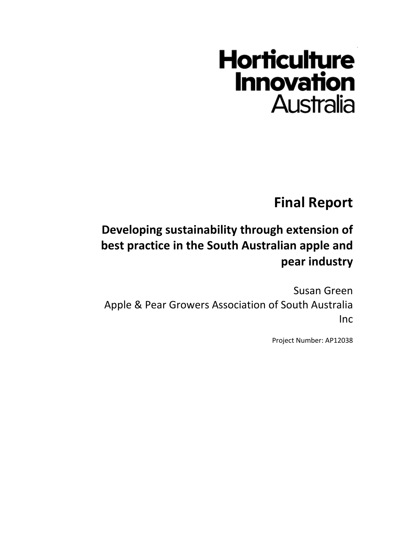# **Horticulture Innovation Australia**

**Final Report**

## **Developing sustainability through extension of best practice in the South Australian apple and pear industry**

Susan Green Apple & Pear Growers Association of South Australia Inc

Project Number: AP12038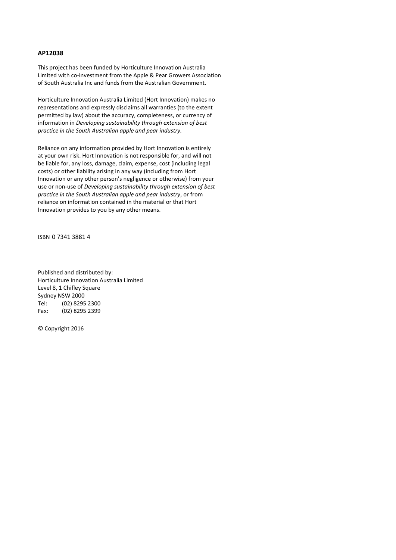#### **AP12038**

This project has been funded by Horticulture Innovation Australia Limited with co-investment from the Apple & Pear Growers Association of South Australia Inc and funds from the Australian Government.

Horticulture Innovation Australia Limited (Hort Innovation) makes no representations and expressly disclaims all warranties (to the extent permitted by law) about the accuracy, completeness, or currency of information in *Developing sustainability through extension of best practice in the South Australian apple and pear industry.*

Reliance on any information provided by Hort Innovation is entirely at your own risk. Hort Innovation is not responsible for, and will not be liable for, any loss, damage, claim, expense, cost (including legal costs) or other liability arising in any way (including from Hort Innovation or any other person's negligence or otherwise) from your use or non-use of *Developing sustainability through extension of best practice in the South Australian apple and pear industry*, or from reliance on information contained in the material or that Hort Innovation provides to you by any other means.

ISBN 0 7341 3881 4

Published and distributed by: Horticulture Innovation Australia Limited Level 8, 1 Chifley Square Sydney NSW 2000<br>Tel: (02) 8295 (02) 8295 2300 Fax: (02) 8295 2399

© Copyright 2016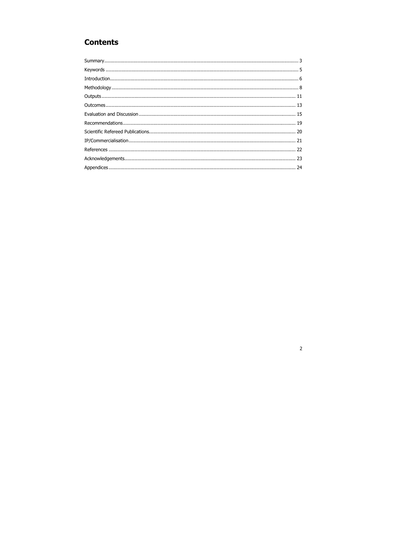### **Contents**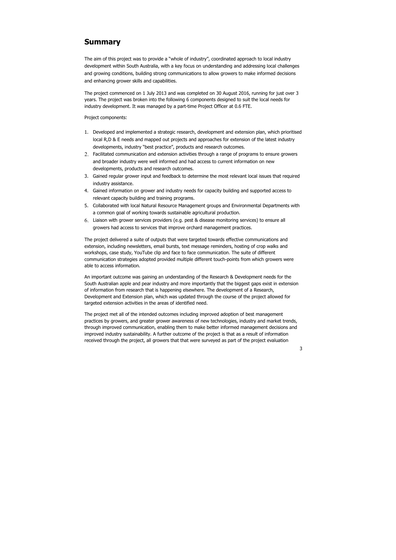### **Summary**

The aim of this project was to provide a "whole of industry", coordinated approach to local industry development within South Australia, with a key focus on understanding and addressing local challenges and growing conditions, building strong communications to allow growers to make informed decisions and enhancing grower skills and capabilities.

The project commenced on 1 July 2013 and was completed on 30 August 2016, running for just over 3 years. The project was broken into the following 6 components designed to suit the local needs for industry development. It was managed by a part-time Project Officer at 0.6 FTE.

Project components:

- 1. Developed and implemented a strategic research, development and extension plan, which prioritised local R,D & E needs and mapped out projects and approaches for extension of the latest industry developments, industry "best practice", products and research outcomes.
- 2. Facilitated communication and extension activities through a range of programs to ensure growers and broader industry were well informed and had access to current information on new developments, products and research outcomes.
- 3. Gained regular grower input and feedback to determine the most relevant local issues that required industry assistance.
- 4. Gained information on grower and industry needs for capacity building and supported access to relevant capacity building and training programs.
- 5. Collaborated with local Natural Resource Management groups and Environmental Departments with a common goal of working towards sustainable agricultural production.
- 6. Liaison with grower services providers (e.g. pest & disease monitoring services) to ensure all growers had access to services that improve orchard management practices.

The project delivered a suite of outputs that were targeted towards effective communications and extension, including newsletters, email bursts, text message reminders, hosting of crop walks and workshops, case study, YouTube clip and face to face communication. The suite of different communication strategies adopted provided multiple different touch-points from which growers were able to access information.

An important outcome was gaining an understanding of the Research & Development needs for the South Australian apple and pear industry and more importantly that the biggest gaps exist in extension of information from research that is happening elsewhere. The development of a Research, Development and Extension plan, which was updated through the course of the project allowed for targeted extension activities in the areas of identified need.

The project met all of the intended outcomes including improved adoption of best management practices by growers, and greater grower awareness of new technologies, industry and market trends, through improved communication, enabling them to make better informed management decisions and improved industry sustainability. A further outcome of the project is that as a result of information received through the project, all growers that that were surveyed as part of the project evaluation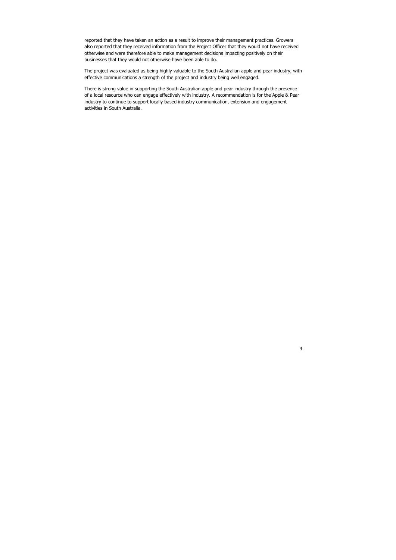4

reported that they have taken an action as a result to improve their management practices. Growers also reported that they received information from the Project Officer that they would not have received otherwise and were therefore able to make management decisions impacting positively on their businesses that they would not otherwise have been able to do.

The project was evaluated as being highly valuable to the South Australian apple and pear industry, with effective communications a strength of the project and industry being well engaged.

There is strong value in supporting the South Australian apple and pear industry through the presence of a local resource who can engage effectively with industry. A recommendation is for the Apple & Pear industry to continue to support locally based industry communication, extension and engagement activities in South Australia.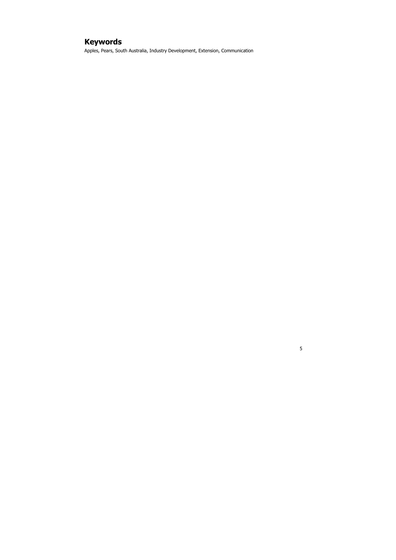### **Keywords**

Apples, Pears, South Australia, Industry Development, Extension, Communication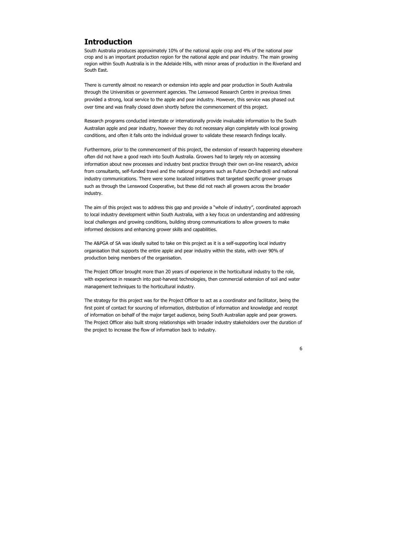#### **Introduction**

South Australia produces approximately 10% of the national apple crop and 4% of the national pear crop and is an important production region for the national apple and pear industry. The main growing region within South Australia is in the Adelaide Hills, with minor areas of production in the Riverland and South East.

There is currently almost no research or extension into apple and pear production in South Australia through the Universities or government agencies. The Lenswood Research Centre in previous times provided a strong, local service to the apple and pear industry. However, this service was phased out over time and was finally closed down shortly before the commencement of this project.

Research programs conducted interstate or internationally provide invaluable information to the South Australian apple and pear industry, however they do not necessary align completely with local growing conditions, and often it falls onto the individual grower to validate these research findings locally.

Furthermore, prior to the commencement of this project, the extension of research happening elsewhere often did not have a good reach into South Australia. Growers had to largely rely on accessing information about new processes and industry best practice through their own on-line research, advice from consultants, self-funded travel and the national programs such as Future Orchards® and national industry communications. There were some localized initiatives that targeted specific grower groups such as through the Lenswood Cooperative, but these did not reach all growers across the broader industry.

The aim of this project was to address this gap and provide a "whole of industry", coordinated approach to local industry development within South Australia, with a key focus on understanding and addressing local challenges and growing conditions, building strong communications to allow growers to make informed decisions and enhancing grower skills and capabilities.

The A&PGA of SA was ideally suited to take on this project as it is a self-supporting local industry organisation that supports the entire apple and pear industry within the state, with over 90% of production being members of the organisation.

The Project Officer brought more than 20 years of experience in the horticultural industry to the role, with experience in research into post-harvest technologies, then commercial extension of soil and water management techniques to the horticultural industry.

The strategy for this project was for the Project Officer to act as a coordinator and facilitator, being the first point of contact for sourcing of information, distribution of information and knowledge and receipt of information on behalf of the major target audience, being South Australian apple and pear growers. The Project Officer also built strong relationships with broader industry stakeholders over the duration of the project to increase the flow of information back to industry.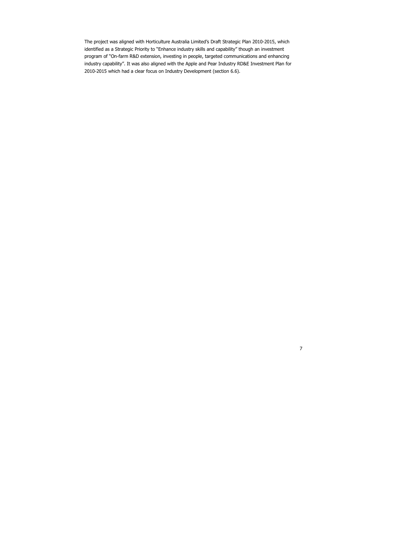The project was aligned with Horticulture Australia Limited's Draft Strategic Plan 2010-2015, which identified as a Strategic Priority to "Enhance industry skills and capability" though an investment program of "On-farm R&D extension, investing in people, targeted communications and enhancing industry capability". It was also aligned with the Apple and Pear Industry RD&E Investment Plan for 2010-2015 which had a clear focus on Industry Development (section 6.6).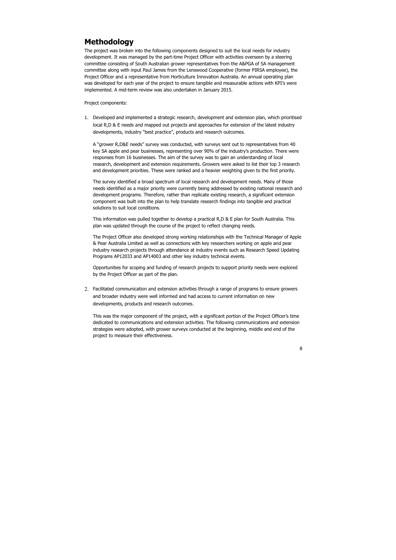### **Methodology**

The project was broken into the following components designed to suit the local needs for industry development. It was managed by the part-time Project Officer with activities overseen by a steering committee consisting of South Australian grower representatives from the A&PGA of SA management committee along with input Paul James from the Lenswood Cooperative (former PIRSA employee), the Project Officer and a representative from Horticulture Innovation Australia. An annual operating plan was developed for each year of the project to ensure tangible and measurable actions with KPI's were implemented. A mid-term review was also undertaken in January 2015.

Project components:

1. Developed and implemented a strategic research, development and extension plan, which prioritised local R,D & E needs and mapped out projects and approaches for extension of the latest industry developments, industry "best practice", products and research outcomes.

A "grower R,D&E needs" survey was conducted, with surveys sent out to representatives from 40 key SA apple and pear businesses, representing over 90% of the industry's production. There were responses from 16 businesses. The aim of the survey was to gain an understanding of local research, development and extension requirements. Growers were asked to list their top 3 research and development priorities. These were ranked and a heavier weighting given to the first priority.

The survey identified a broad spectrum of local research and development needs. Many of those needs identified as a major priority were currently being addressed by existing national research and development programs. Therefore, rather than replicate existing research, a significant extension component was built into the plan to help translate research findings into tangible and practical solutions to suit local conditions.

This information was pulled together to develop a practical R,D & E plan for South Australia. This plan was updated through the course of the project to reflect changing needs.

The Project Officer also developed strong working relationships with the Technical Manager of Apple & Pear Australia Limited as well as connections with key researchers working on apple and pear industry research projects through attendance at industry events such as Research Speed Updating Programs AP12033 and AP14003 and other key industry technical events.

Opportunities for scoping and funding of research projects to support priority needs were explored by the Project Officer as part of the plan.

2. Facilitated communication and extension activities through a range of programs to ensure growers and broader industry were well informed and had access to current information on new developments, products and research outcomes.

This was the major component of the project, with a significant portion of the Project Officer's time dedicated to communications and extension activities. The following communications and extension strategies were adopted, with grower surveys conducted at the beginning, middle and end of the project to measure their effectiveness.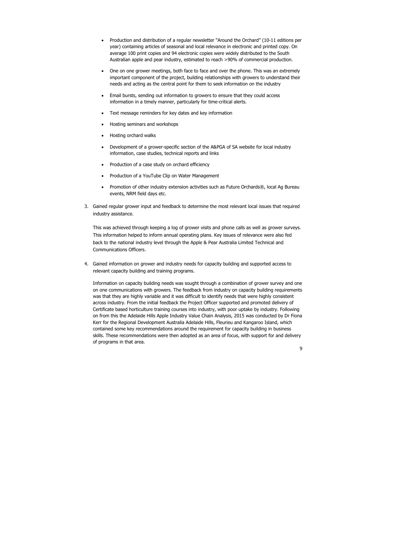- Production and distribution of a regular newsletter "Around the Orchard" (10-11 editions per year) containing articles of seasonal and local relevance in electronic and printed copy. On average 100 print copies and 94 electronic copies were widely distributed to the South Australian apple and pear industry, estimated to reach >90% of commercial production.
- One on one grower meetings, both face to face and over the phone. This was an extremely important component of the project, building relationships with growers to understand their needs and acting as the central point for them to seek information on the industry
- Email bursts, sending out information to growers to ensure that they could access information in a timely manner, particularly for time-critical alerts.
- Text message reminders for key dates and key information
- Hosting seminars and workshops
- Hosting orchard walks
- Development of a grower-specific section of the A&PGA of SA website for local industry information, case studies, technical reports and links
- Production of a case study on orchard efficiency
- Production of a YouTube Clip on Water Management
- Promotion of other industry extension activities such as Future Orchards®, local Ag Bureau events, NRM field days etc.
- 3. Gained regular grower input and feedback to determine the most relevant local issues that required industry assistance.

This was achieved through keeping a log of grower visits and phone calls as well as grower surveys. This information helped to inform annual operating plans. Key issues of relevance were also fed back to the national industry level through the Apple & Pear Australia Limited Technical and Communications Officers.

4. Gained information on grower and industry needs for capacity building and supported access to relevant capacity building and training programs.

Information on capacity building needs was sought through a combination of grower survey and one on one communications with growers. The feedback from industry on capacity building requirements was that they are highly variable and it was difficult to identify needs that were highly consistent across industry. From the initial feedback the Project Officer supported and promoted delivery of Certificate based horticulture training courses into industry, with poor uptake by industry. Following on from this the Adelaide Hills Apple Industry Value Chain Analysis, 2015 was conducted by Dr Fiona Kerr for the Regional Development Australia Adelaide Hills, Fleurieu and Kangaroo Island, which contained some key recommendations around the requirement for capacity building in business skills. These recommendations were then adopted as an area of focus, with support for and delivery of programs in that area.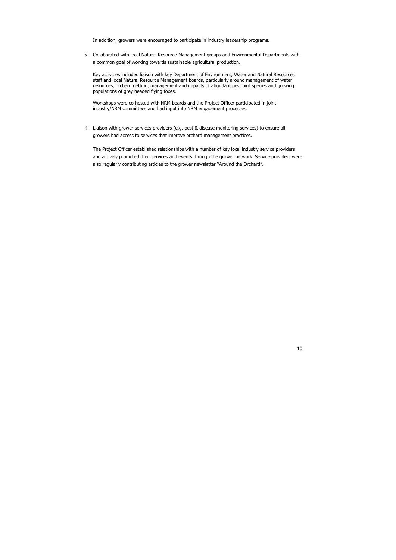In addition, growers were encouraged to participate in industry leadership programs.

5. Collaborated with local Natural Resource Management groups and Environmental Departments with a common goal of working towards sustainable agricultural production.

Key activities included liaison with key Department of Environment, Water and Natural Resources staff and local Natural Resource Management boards, particularly around management of water resources, orchard netting, management and impacts of abundant pest bird species and growing populations of grey headed flying foxes.

Workshops were co-hosted with NRM boards and the Project Officer participated in joint industry/NRM committees and had input into NRM engagement processes.

6. Liaison with grower services providers (e.g. pest & disease monitoring services) to ensure all growers had access to services that improve orchard management practices.

The Project Officer established relationships with a number of key local industry service providers and actively promoted their services and events through the grower network. Service providers were also regularly contributing articles to the grower newsletter "Around the Orchard".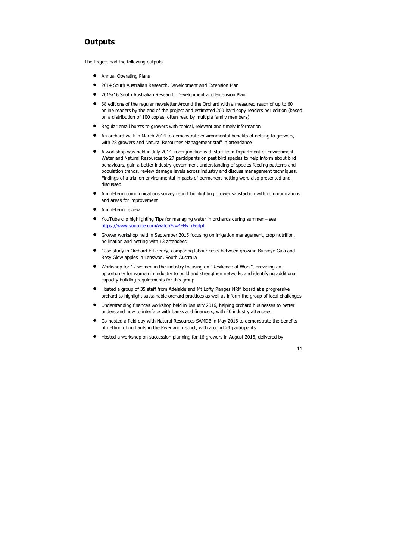### **Outputs**

The Project had the following outputs.

- **•** Annual Operating Plans
- 2014 South Australian Research, Development and Extension Plan
- 2015/16 South Australian Research, Development and Extension Plan
- 38 editions of the regular newsletter Around the Orchard with a measured reach of up to 60 online readers by the end of the project and estimated 200 hard copy readers per edition (based on a distribution of 100 copies, often read by multiple family members)
- Regular email bursts to growers with topical, relevant and timely information
- An orchard walk in March 2014 to demonstrate environmental benefits of netting to growers, with 28 growers and Natural Resources Management staff in attendance
- A workshop was held in July 2014 in conjunction with staff from Department of Environment, Water and Natural Resources to 27 participants on pest bird species to help inform about bird behaviours, gain a better industry-government understanding of species feeding patterns and population trends, review damage levels across industry and discuss management techniques. Findings of a trial on environmental impacts of permanent netting were also presented and discussed.
- A mid-term communications survey report highlighting grower satisfaction with communications and areas for improvement
- A mid-term review
- YouTube clip highlighting Tips for managing water in orchards during summer see https://www.youtube.com/watch?v=4FNv\_rFedpI
- Grower workshop held in September 2015 focusing on irrigation management, crop nutrition, pollination and netting with 13 attendees
- Case study in Orchard Efficiency, comparing labour costs between growing Buckeye Gala and Rosy Glow apples in Lenswod, South Australia
- Workshop for 12 women in the industry focusing on "Resilience at Work", providing an opportunity for women in industry to build and strengthen networks and identifying additional capacity building requirements for this group
- Hosted a group of 35 staff from Adelaide and Mt Lofty Ranges NRM board at a progressive orchard to highlight sustainable orchard practices as well as inform the group of local challenges
- Understanding finances workshop held in January 2016, helping orchard businesses to better understand how to interface with banks and financers, with 20 industry attendees.
- Co-hosted a field day with Natural Resources SAMDB in May 2016 to demonstrate the benefits of netting of orchards in the Riverland district; with around 24 participants
- Hosted a workshop on succession planning for 16 growers in August 2016, delivered by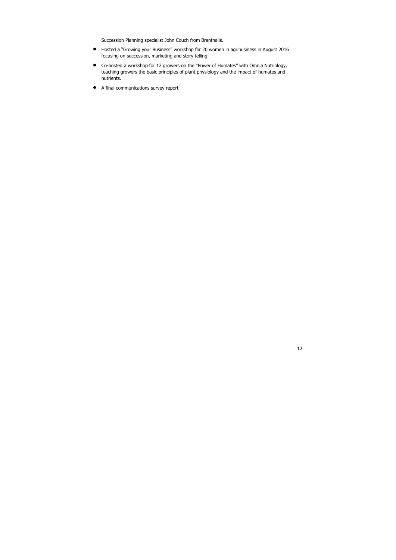Succession Planning specialist John Couch from Brentnalls.

- Hosted a "Growing your Business" workshop for 20 women in agribusiness in August 2016 focusing on succession, marketing and story telling
- Co-hosted a workshop for 12 growers on the "Power of Humates" with Omnia Nutriology, teaching growers the basic principles of plant physiology and the impact of humates and nutrients.
- A final communications survey report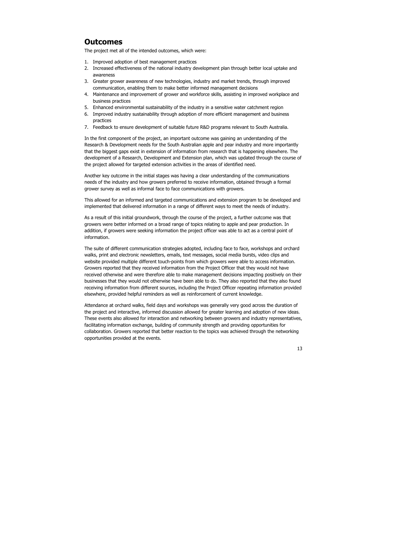#### **Outcomes**

The project met all of the intended outcomes, which were:

- 1. Improved adoption of best management practices
- 2. Increased effectiveness of the national industry development plan through better local uptake and awareness
- 3. Greater grower awareness of new technologies, industry and market trends, through improved communication, enabling them to make better informed management decisions
- 4. Maintenance and improvement of grower and workforce skills, assisting in improved workplace and business practices
- 5. Enhanced environmental sustainability of the industry in a sensitive water catchment region
- 6. Improved industry sustainability through adoption of more efficient management and business practices
- 7. Feedback to ensure development of suitable future R&D programs relevant to South Australia.

In the first component of the project, an important outcome was gaining an understanding of the Research & Development needs for the South Australian apple and pear industry and more importantly that the biggest gaps exist in extension of information from research that is happening elsewhere. The development of a Research, Development and Extension plan, which was updated through the course of the project allowed for targeted extension activities in the areas of identified need.

Another key outcome in the initial stages was having a clear understanding of the communications needs of the industry and how growers preferred to receive information, obtained through a formal grower survey as well as informal face to face communications with growers.

This allowed for an informed and targeted communications and extension program to be developed and implemented that delivered information in a range of different ways to meet the needs of industry.

As a result of this initial groundwork, through the course of the project, a further outcome was that growers were better informed on a broad range of topics relating to apple and pear production. In addition, if growers were seeking information the project officer was able to act as a central point of information.

The suite of different communication strategies adopted, including face to face, workshops and orchard walks, print and electronic newsletters, emails, text messages, social media bursts, video clips and website provided multiple different touch-points from which growers were able to access information. Growers reported that they received information from the Project Officer that they would not have received otherwise and were therefore able to make management decisions impacting positively on their businesses that they would not otherwise have been able to do. They also reported that they also found receiving information from different sources, including the Project Officer repeating information provided elsewhere, provided helpful reminders as well as reinforcement of current knowledge.

Attendance at orchard walks, field days and workshops was generally very good across the duration of the project and interactive, informed discussion allowed for greater learning and adoption of new ideas. These events also allowed for interaction and networking between growers and industry representatives, facilitating information exchange, building of community strength and providing opportunities for collaboration. Growers reported that better reaction to the topics was achieved through the networking opportunities provided at the events.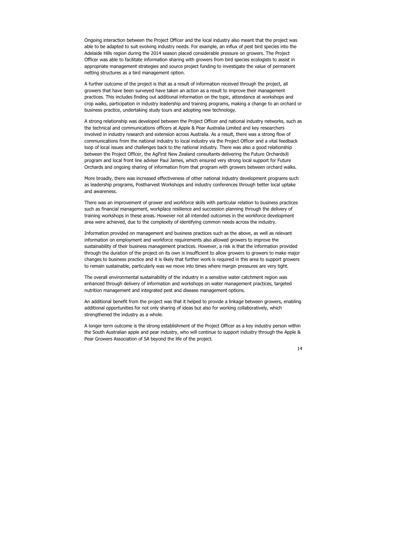Ongoing interaction between the Project Officer and the local industry also meant that the project was able to be adapted to suit evolving industry needs. For example, an influx of pest bird species into the Adelaide Hills region during the 2014 season placed considerable pressure on growers. The Project Officer was able to facilitate information sharing with growers from bird species ecologists to assist in appropriate management strategies and source project funding to investigate the value of permanent netting structures as a bird management option.

A further outcome of the project is that as a result of information received through the project, all growers that have been surveyed have taken an action as a result to improve their management practices. This includes finding out additional information on the topic, attendance at workshops and crop walks, participation in industry leadership and training programs, making a change to an orchard or business practice, undertaking study tours and adopting new technology.

A strong relationship was developed between the Project Officer and national industry networks, such as the technical and communications officers at Apple & Pear Australia Limited and key researchers involved in industry research and extension across Australia. As a result, there was a strong flow of communications from the national industry to local industry via the Project Officer and a vital feedback loop of local issues and challenges back to the national industry. There was also a good relationship between the Project Officer, the AgFirst New Zealand consultants delivering the Future Orchards® program and local front line adviser Paul James, which ensured very strong local support for Future Orchards and ongoing sharing of information from that program with growers between orchard walks.

More broadly, there was increased effectiveness of other national industry development programs such as leadership programs, Postharvest Workshops and industry conferences through better local uptake and awareness.

There was an improvement of grower and workforce skills with particular relation to business practices such as financial management, workplace resilience and succession planning through the delivery of training workshops in these areas. However not all intended outcomes in the workforce development area were achieved, due to the complexity of identifying common needs across the industry.

Information provided on management and business practices such as the above, as well as relevant information on employment and workforce requirements also allowed growers to improve the sustainability of their business management practices. However, a risk is that the information provided through the duration of the project on its own is insufficient to allow growers to growers to make major changes to business practice and it is likely that further work is required in this area to support growers to remain sustainable, particularly was we move into times where margin pressures are very tight.

The overall environmental sustainability of the industry in a sensitive water catchment region was enhanced through delivery of information and workshops on water management practices, targeted nutrition management and integrated pest and disease management options.

An additional benefit from the project was that it helped to provide a linkage between growers, enabling additional opportunities for not only sharing of ideas but also for working collaboratively, which strengthened the industry as a whole.

A longer term outcome is the strong establishment of the Project Officer as a key industry person within the South Australian apple and pear industry, who will continue to support industry through the Apple & Pear Growers Association of SA beyond the life of the project.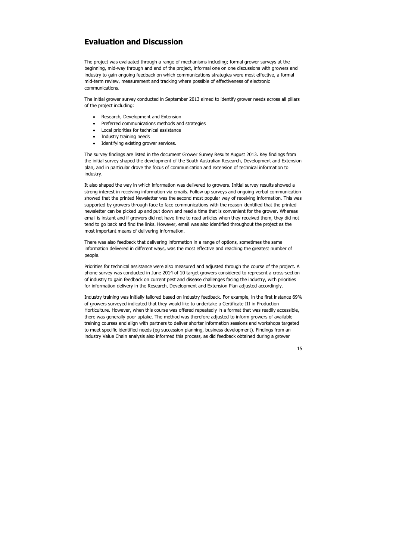#### **Evaluation and Discussion**

The project was evaluated through a range of mechanisms including; formal grower surveys at the beginning, mid-way through and end of the project, informal one on one discussions with growers and industry to gain ongoing feedback on which communications strategies were most effective, a formal mid-term review, measurement and tracking where possible of effectiveness of electronic communications.

The initial grower survey conducted in September 2013 aimed to identify grower needs across all pillars of the project including:

- Research, Development and Extension
- Preferred communications methods and strategies
- Local priorities for technical assistance
- Industry training needs
- Identifying existing grower services.

The survey findings are listed in the document Grower Survey Results August 2013. Key findings from the initial survey shaped the development of the South Australian Research, Development and Extension plan, and in particular drove the focus of communication and extension of technical information to industry.

It also shaped the way in which information was delivered to growers. Initial survey results showed a strong interest in receiving information via emails. Follow up surveys and ongoing verbal communication showed that the printed Newsletter was the second most popular way of receiving information. This was supported by growers through face to face communications with the reason identified that the printed newsletter can be picked up and put down and read a time that is convenient for the grower. Whereas email is instant and if growers did not have time to read articles when they received them, they did not tend to go back and find the links. However, email was also identified throughout the project as the most important means of delivering information.

There was also feedback that delivering information in a range of options, sometimes the same information delivered in different ways, was the most effective and reaching the greatest number of people.

Priorities for technical assistance were also measured and adjusted through the course of the project. A phone survey was conducted in June 2014 of 10 target growers considered to represent a cross-section of industry to gain feedback on current pest and disease challenges facing the industry, with priorities for information delivery in the Research, Development and Extension Plan adjusted accordingly.

Industry training was initially tailored based on industry feedback. For example, in the first instance 69% of growers surveyed indicated that they would like to undertake a Certificate III in Production Horticulture. However, when this course was offered repeatedly in a format that was readily accessible, there was generally poor uptake. The method was therefore adjusted to inform growers of available training courses and align with partners to deliver shorter information sessions and workshops targeted to meet specific identified needs (eg succession planning, business development). Findings from an industry Value Chain analysis also informed this process, as did feedback obtained during a grower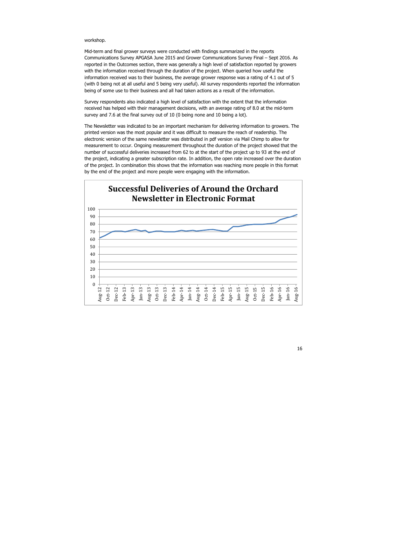#### workshop.

Mid-term and final grower surveys were conducted with findings summarized in the reports Communications Survey APGASA June 2015 and Grower Communications Survey Final – Sept 2016. As reported in the Outcomes section, there was generally a high level of satisfaction reported by growers with the information received through the duration of the project. When queried how useful the information received was to their business, the average grower response was a rating of 4.1 out of 5 (with 0 being not at all useful and 5 being very useful). All survey respondents reported the information being of some use to their business and all had taken actions as a result of the information.

Survey respondents also indicated a high level of satisfaction with the extent that the information received has helped with their management decisions, with an average rating of 8.0 at the mid-term survey and 7.6 at the final survey out of 10 (0 being none and 10 being a lot).

The Newsletter was indicated to be an important mechanism for delivering information to growers. The printed version was the most popular and it was difficult to measure the reach of readership. The electronic version of the same newsletter was distributed in pdf version via Mail Chimp to allow for measurement to occur. Ongoing measurement throughout the duration of the project showed that the number of successful deliveries increased from 62 to at the start of the project up to 93 at the end of the project, indicating a greater subscription rate. In addition, the open rate increased over the duration of the project. In combination this shows that the information was reaching more people in this format by the end of the project and more people were engaging with the information.

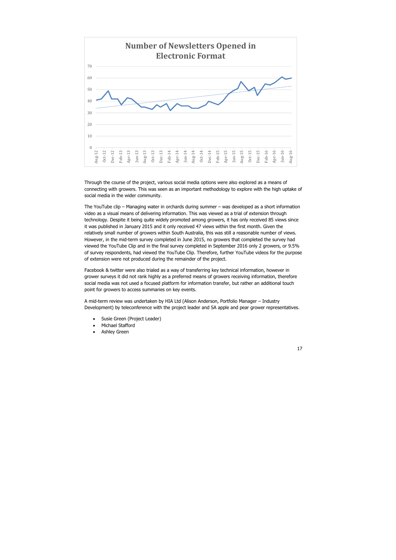Through the course of the project, various social media options were also explored as a means of connecting with growers. This was seen as an important methodology to explore with the high uptake of social media in the wider community.

The YouTube clip – Managing water in orchards during summer – was developed as a short information video as a visual means of delivering information. This was viewed as a trial of extension through technology. Despite it being quite widely promoted among growers, it has only received 85 views since it was published in January 2015 and it only received 47 views within the first month. Given the relatively small number of growers within South Australia, this was still a reasonable number of views. However, in the mid-term survey completed in June 2015, no growers that completed the survey had viewed the YouTube Clip and in the final survey completed in September 2016 only 2 growers, or 9.5% of survey respondents, had viewed the YouTube Clip. Therefore, further YouTube videos for the purpose of extension were not produced during the remainder of the project.

Facebook & twitter were also trialed as a way of transferring key technical information, however in grower surveys it did not rank highly as a preferred means of growers receiving information, therefore social media was not used a focused platform for information transfer, but rather an additional touch point for growers to access summaries on key events.

A mid-term review was undertaken by HIA Ltd (Alison Anderson, Portfolio Manager – Industry Development) by teleconference with the project leader and SA apple and pear grower representatives.

- Susie Green (Project Leader)
- Michael Stafford
- Ashley Green

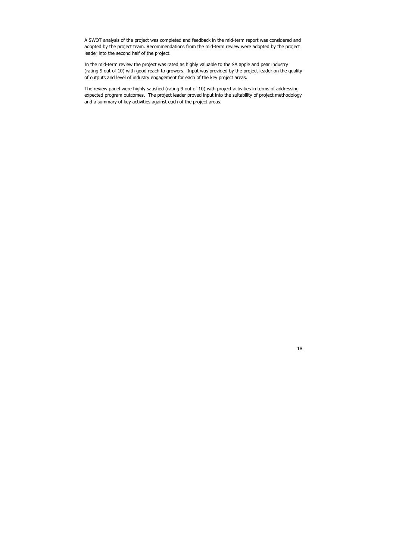A SWOT analysis of the project was completed and feedback in the mid-term report was considered and adopted by the project team. Recommendations from the mid-term review were adopted by the project leader into the second half of the project.

In the mid-term review the project was rated as highly valuable to the SA apple and pear industry (rating 9 out of 10) with good reach to growers. Input was provided by the project leader on the quality of outputs and level of industry engagement for each of the key project areas.

The review panel were highly satisfied (rating 9 out of 10) with project activities in terms of addressing expected program outcomes. The project leader proved input into the suitability of project methodology and a summary of key activities against each of the project areas.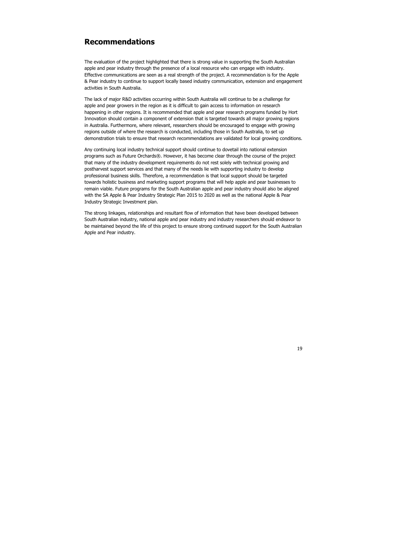### **Recommendations**

The evaluation of the project highlighted that there is strong value in supporting the South Australian apple and pear industry through the presence of a local resource who can engage with industry. Effective communications are seen as a real strength of the project. A recommendation is for the Apple & Pear industry to continue to support locally based industry communication, extension and engagement activities in South Australia.

The lack of major R&D activities occurring within South Australia will continue to be a challenge for apple and pear growers in the region as it is difficult to gain access to information on research happening in other regions. It is recommended that apple and pear research programs funded by Hort Innovation should contain a component of extension that is targeted towards all major growing regions in Australia. Furthermore, where relevant, researchers should be encouraged to engage with growing regions outside of where the research is conducted, including those in South Australia, to set up demonstration trials to ensure that research recommendations are validated for local growing conditions.

Any continuing local industry technical support should continue to dovetail into national extension programs such as Future Orchards®. However, it has become clear through the course of the project that many of the industry development requirements do not rest solely with technical growing and postharvest support services and that many of the needs lie with supporting industry to develop professional business skills. Therefore, a recommendation is that local support should be targeted towards holistic business and marketing support programs that will help apple and pear businesses to remain viable. Future programs for the South Australian apple and pear industry should also be aligned with the SA Apple & Pear Industry Strategic Plan 2015 to 2020 as well as the national Apple & Pear Industry Strategic Investment plan.

The strong linkages, relationships and resultant flow of information that have been developed between South Australian industry, national apple and pear industry and industry researchers should endeavor to be maintained beyond the life of this project to ensure strong continued support for the South Australian Apple and Pear industry.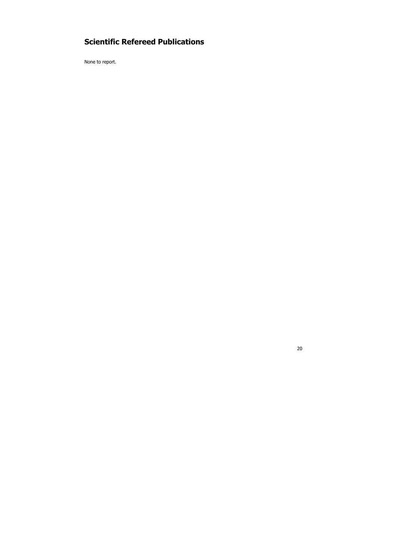### **Scientific Refereed Publications**

None to report.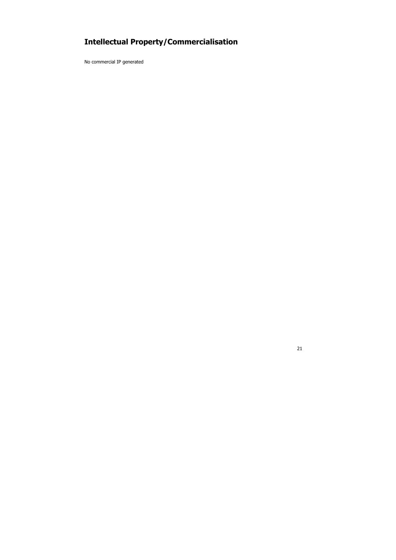# **Intellectual Property/Commercialisation**

No commercial IP generated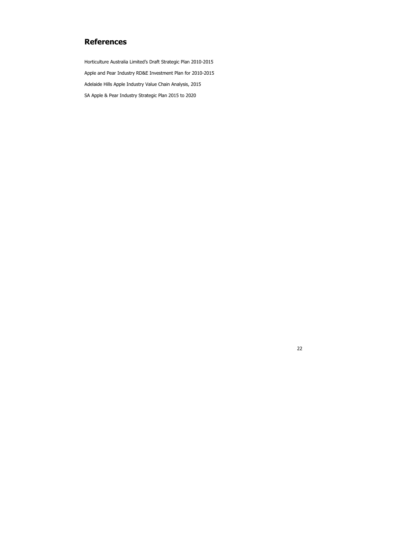### **References**

Horticulture Australia Limited's Draft Strategic Plan 2010-2015 Apple and Pear Industry RD&E Investment Plan for 2010-2015 Adelaide Hills Apple Industry Value Chain Analysis, 2015 SA Apple & Pear Industry Strategic Plan 2015 to 2020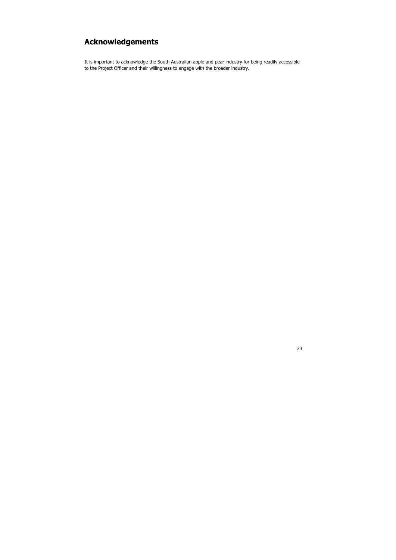## **Acknowledgements**

It is important to acknowledge the South Australian apple and pear industry for being readily accessible to the Project Officer and their willingness to engage with the broader industry.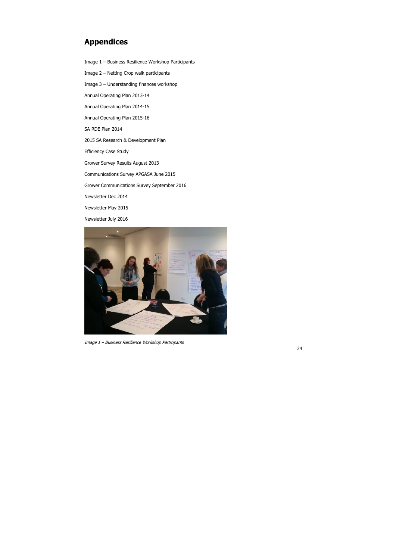### **Appendices**

Image 1 – Business Resilience Workshop Participants

Image 2 – Netting Crop walk participants Image 3 – Understanding finances workshop Annual Operating Plan 2013-14 Annual Operating Plan 2014-15 Annual Operating Plan 2015-16 SA RDE Plan 2014 2015 SA Research & Development Plan Efficiency Case Study Grower Survey Results August 2013 Communications Survey APGASA June 2015 Grower Communications Survey September 2016 Newsletter Dec 2014 Newsletter May 2015 Newsletter July 2016



Image 1 – Business Resilience Workshop Participants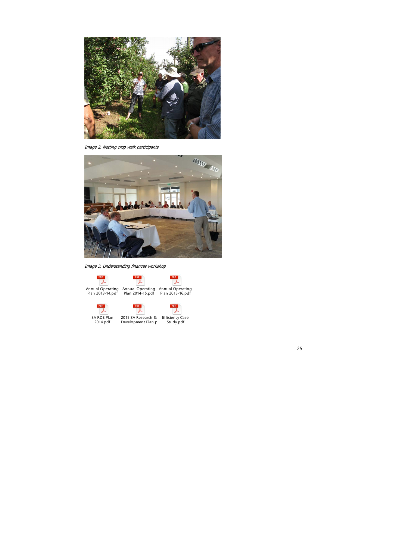

Image 2. Netting crop walk participants



Image 3. Understanding finances workshop

PDF PDF J. Annual Operating Annual Operating Annual Operating Plan 2013-14.pdf Plan 2014-15.pdf Plan 2015-16.pdf



SA RDE Plan 2014.pdf



⊁